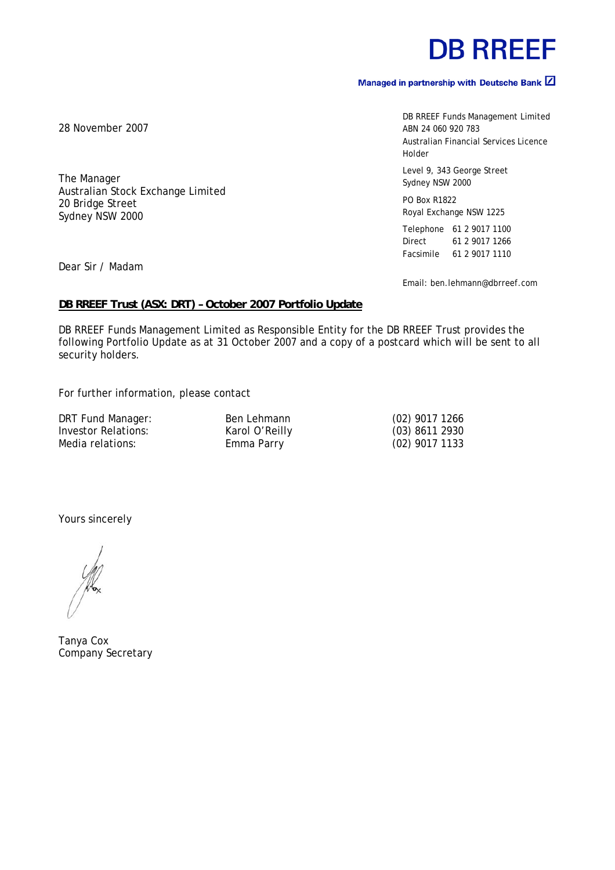## **DB RREEF**

#### Managed in partnership with Deutsche Bank  $\boxtimes$

DB RREEF Funds Management Limited ABN 24 060 920 783 Australian Financial Services Licence Holder

Level 9, 343 George Street Sydney NSW 2000

PO Box R1822 Royal Exchange NSW 1225

Telephone 61 2 9017 1100 Direct 61 2 9017 1266 Facsimile 61 2 9017 1110

Email: ben.lehmann@dbrreef.com

#### **DB RREEF Trust (ASX: DRT) – October 2007 Portfolio Update**

DB RREEF Funds Management Limited as Responsible Entity for the DB RREEF Trust provides the following Portfolio Update as at 31 October 2007 and a copy of a postcard which will be sent to all security holders.

For further information, please contact

DRT Fund Manager: Ben Lehmann (02) 9017 1266<br>Investor Relations: Karol O'Reilly (03) 8611 2930 Investor Relations: Karol O'Reilly Media relations: Emma Parry 102) 9017 1133

Yours sincerely

Tanya Cox Company Secretary

28 November 2007

The Manager Australian Stock Exchange Limited 20 Bridge Street Sydney NSW 2000

Dear Sir / Madam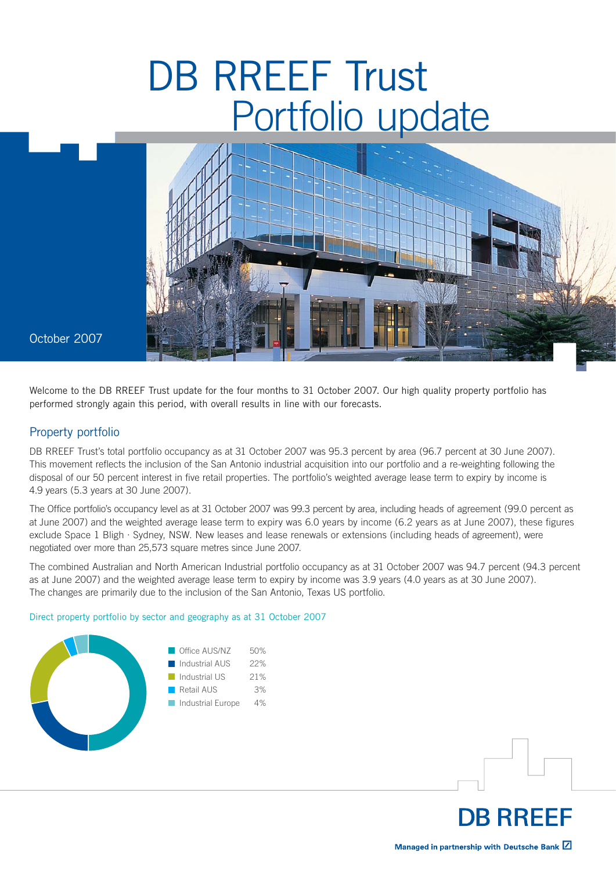# DB RREEF Trust Portfolio update



October 2007

Welcome to the DB RREEF Trust update for the four months to 31 October 2007. Our high quality property portfolio has performed strongly again this period, with overall results in line with our forecasts.

#### Property portfolio

DB RREEF Trust's total portfolio occupancy as at 31 October 2007 was 95.3 percent by area (96.7 percent at 30 June 2007). This movement reflects the inclusion of the San Antonio industrial acquisition into our portfolio and a re-weighting following the disposal of our 50 percent interest in five retail properties. The portfolio's weighted average lease term to expiry by income is 4.9 years (5.3 years at 30 June 2007).

The Office portfolio's occupancy level as at 31 October 2007 was 99.3 percent by area, including heads of agreement (99.0 percent as at June 2007) and the weighted average lease term to expiry was 6.0 years by income (6.2 years as at June 2007), these figures exclude Space 1 Bligh · Sydney, NSW. New leases and lease renewals or extensions (including heads of agreement), were negotiated over more than 25,573 square metres since June 2007.

The combined Australian and North American Industrial portfolio occupancy as at 31 October 2007 was 94.7 percent (94.3 percent as at June 2007) and the weighted average lease term to expiry by income was 3.9 years (4.0 years as at 30 June 2007). The changes are primarily due to the inclusion of the San Antonio, Texas US portfolio.

Direct property portfolio by sector and geography as at 31 October 2007



Managed in partnership with Deutsche Bank Z

**DB RREEF**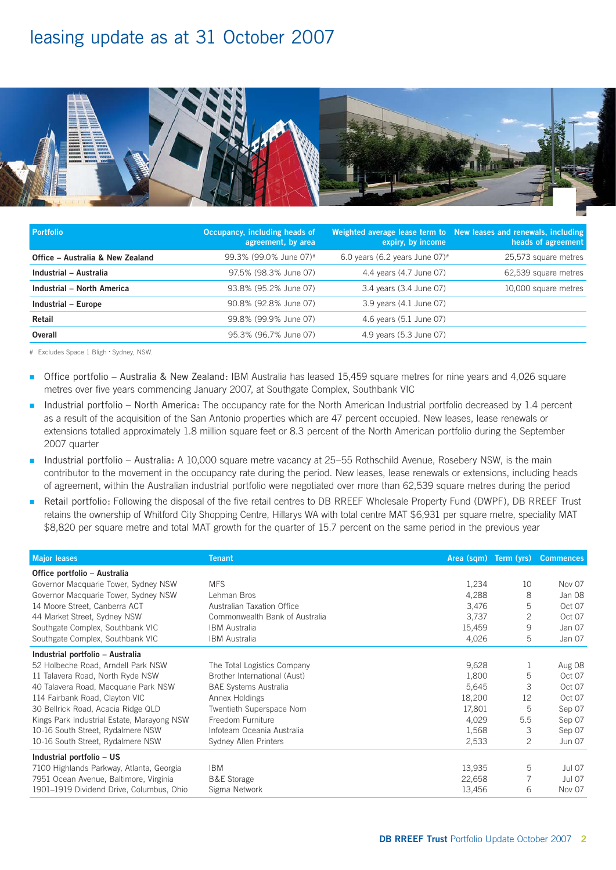### leasing update as at 31 October 2007



| <b>Portfolio</b>                 | Occupancy, including heads of<br>agreement, by area | expiry, by income                             | Weighted average lease term to New leases and renewals, including<br>heads of agreement, |
|----------------------------------|-----------------------------------------------------|-----------------------------------------------|------------------------------------------------------------------------------------------|
| Office - Australia & New Zealand | 99.3% (99.0% June 07)#                              | 6.0 years (6.2 years June $07$ ) <sup>#</sup> | 25,573 square metres                                                                     |
| Industrial - Australia           | 97.5% (98.3% June 07)                               | 4.4 years (4.7 June 07)                       | 62,539 square metres                                                                     |
| Industrial - North America       | 93.8% (95.2% June 07)                               | 3.4 years (3.4 June 07)                       | 10,000 square metres                                                                     |
| Industrial - Europe              | 90.8% (92.8% June 07)                               | 3.9 years (4.1 June 07)                       |                                                                                          |
| Retail                           | 99.8% (99.9% June 07)                               | 4.6 years (5.1 June 07)                       |                                                                                          |
| Overall                          | 95.3% (96.7% June 07)                               | 4.9 years (5.3 June 07)                       |                                                                                          |

# Excludes Space 1 Bligh • Sydney, NSW.

- Office portfolio Australia & New Zealand: IBM Australia has leased 15,459 square metres for nine years and 4,026 square metres over five years commencing January 2007, at Southgate Complex, Southbank VIC n
- Industrial portfolio North America: The occupancy rate for the North American Industrial portfolio decreased by 1.4 percent as a result of the acquisition of the San Antonio properties which are 47 percent occupied. New leases, lease renewals or extensions totalled approximately 1.8 million square feet or 8.3 percent of the North American portfolio during the September 2007 quarter n
- Industrial portfolio Australia: A 10,000 square metre vacancy at 25–55 Rothschild Avenue, Rosebery NSW, is the main contributor to the movement in the occupancy rate during the period. New leases, lease renewals or extensions, including heads of agreement, within the Australian industrial portfolio were negotiated over more than 62,539 square metres during the period n
- Retail portfolio: Following the disposal of the five retail centres to DB RREEF Wholesale Property Fund (DWPF), DB RREEF Trust retains the ownership of Whitford City Shopping Centre, Hillarys WA with total centre MAT \$6,931 per square metre, speciality MAT \$8,820 per square metre and total MAT growth for the quarter of 15.7 percent on the same period in the previous year n

| <b>Major leases</b>                        | <b>Tenant</b>                  | Area (sqm) Term (yrs) |                | <b>Commences</b> |
|--------------------------------------------|--------------------------------|-----------------------|----------------|------------------|
| Office portfolio - Australia               |                                |                       |                |                  |
| Governor Macquarie Tower, Sydney NSW       | <b>MFS</b>                     | 1,234                 | 10             | Nov 07           |
| Governor Macquarie Tower, Sydney NSW       | Lehman Bros                    | 4,288                 | 8              | Jan 08           |
| 14 Moore Street, Canberra ACT              | Australian Taxation Office     | 3,476                 | 5              | Oct 07           |
| 44 Market Street, Sydney NSW               | Commonwealth Bank of Australia | 3,737                 | $\overline{2}$ | Oct 07           |
| Southgate Complex, Southbank VIC           | <b>IBM</b> Australia           | 15,459                | 9              | Jan 07           |
| Southgate Complex, Southbank VIC           | <b>IBM</b> Australia           | 4,026                 | 5              | Jan 07           |
| Industrial portfolio - Australia           |                                |                       |                |                  |
| 52 Holbeche Road, Arndell Park NSW         | The Total Logistics Company    | 9,628                 | 1              | Aug 08           |
| 11 Talavera Road, North Ryde NSW           | Brother International (Aust)   | 1,800                 | 5              | Oct 07           |
| 40 Talavera Road, Macquarie Park NSW       | <b>BAE Systems Australia</b>   | 5,645                 | 3              | Oct 07           |
| 114 Fairbank Road, Clayton VIC             | Annex Holdings                 | 18,200                | 12             | Oct 07           |
| 30 Bellrick Road, Acacia Ridge QLD         | Twentieth Superspace Nom       | 17,801                | 5              | Sep 07           |
| Kings Park Industrial Estate, Marayong NSW | Freedom Furniture              | 4,029                 | 5.5            | Sep 07           |
| 10-16 South Street, Rydalmere NSW          | Infoteam Oceania Australia     | 1,568                 | 3              | Sep 07           |
| 10-16 South Street, Rydalmere NSW          | Sydney Allen Printers          | 2,533                 | 2              | <b>Jun 07</b>    |
| Industrial portfolio - US                  |                                |                       |                |                  |
| 7100 Highlands Parkway, Atlanta, Georgia   | <b>IBM</b>                     | 13,935                | 5              | <b>Jul 07</b>    |
| 7951 Ocean Avenue, Baltimore, Virginia     | <b>B&amp;E Storage</b>         | 22,658                |                | <b>Jul 07</b>    |
| 1901-1919 Dividend Drive, Columbus, Ohio   | Sigma Network                  | 13,456                | 6              | Nov 07           |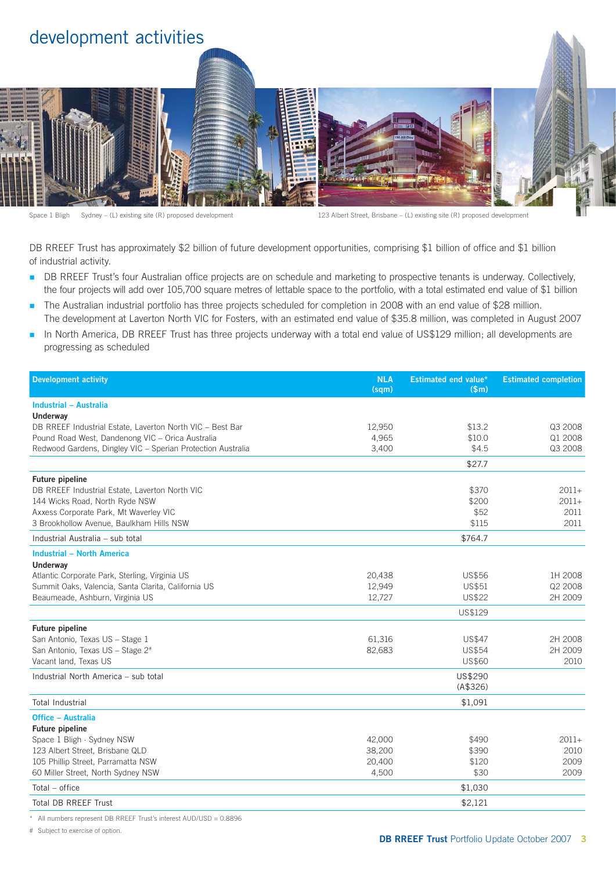

Space 1 Bligh Sydney – (L) existing site (R) proposed development 123 Albert Street, Brisbane – (L) existing site (R) proposed development

DB RREEF Trust has approximately \$2 billion of future development opportunities, comprising \$1 billion of office and \$1 billion of industrial activity.

- DB RREEF Trust's four Australian office projects are on schedule and marketing to prospective tenants is underway. Collectively, the four projects will add over 105,700 square metres of lettable space to the portfolio, with a total estimated end value of \$1 billion n
- The Australian industrial portfolio has three projects scheduled for completion in 2008 with an end value of \$28 million. The development at Laverton North VIC for Fosters, with an estimated end value of \$35.8 million, was completed in August 2007 n
- In North America, DB RREEF Trust has three projects underway with a total end value of US\$129 million; all developments are progressing as scheduled n

| <b>Development activity</b>                                 | <b>NLA</b><br>(sqm) | <b>Estimated end value*</b><br>\$m\$ | <b>Estimated completion</b> |
|-------------------------------------------------------------|---------------------|--------------------------------------|-----------------------------|
| Industrial - Australia                                      |                     |                                      |                             |
| Underway                                                    |                     |                                      |                             |
| DB RREEF Industrial Estate, Laverton North VIC - Best Bar   | 12,950              | \$13.2                               | Q3 2008                     |
| Pound Road West, Dandenong VIC - Orica Australia            | 4,965               | \$10.0                               | Q1 2008                     |
| Redwood Gardens, Dingley VIC - Sperian Protection Australia | 3,400               | \$4.5                                | Q3 2008                     |
|                                                             |                     | \$27.7                               |                             |
| <b>Future pipeline</b>                                      |                     |                                      |                             |
| DB RREEF Industrial Estate, Laverton North VIC              |                     | \$370                                | $2011+$                     |
| 144 Wicks Road, North Ryde NSW                              |                     | \$200                                | $2011+$                     |
| Axxess Corporate Park, Mt Waverley VIC                      |                     | \$52                                 | 2011                        |
| 3 Brookhollow Avenue, Baulkham Hills NSW                    |                     | \$115                                | 2011                        |
| Industrial Australia - sub total                            |                     | \$764.7                              |                             |
| <b>Industrial - North America</b>                           |                     |                                      |                             |
| Underway                                                    |                     |                                      |                             |
| Atlantic Corporate Park, Sterling, Virginia US              | 20,438              | <b>US\$56</b>                        | 1H 2008                     |
| Summit Oaks, Valencia, Santa Clarita, California US         | 12,949              | US\$51                               | Q2 2008                     |
| Beaumeade, Ashburn, Virginia US                             | 12,727              | <b>US\$22</b>                        | 2H 2009                     |
|                                                             |                     | US\$129                              |                             |
| Future pipeline                                             |                     |                                      |                             |
| San Antonio, Texas US - Stage 1                             | 61,316              | <b>US\$47</b>                        | 2H 2008                     |
| San Antonio, Texas US - Stage 2 <sup>#</sup>                | 82,683              | <b>US\$54</b>                        | 2H 2009                     |
| Vacant land, Texas US                                       |                     | US\$60                               | 2010                        |
| Industrial North America - sub total                        |                     | US\$290                              |                             |
|                                                             |                     | (A\$326)                             |                             |
| <b>Total Industrial</b>                                     |                     | \$1,091                              |                             |
| Office - Australia                                          |                     |                                      |                             |
| <b>Future pipeline</b>                                      |                     |                                      |                             |
| Space 1 Bligh · Sydney NSW                                  | 42,000              | \$490                                | $2011+$                     |
| 123 Albert Street, Brisbane QLD                             | 38,200              | \$390                                | 2010                        |
| 105 Phillip Street, Parramatta NSW                          | 20,400              | \$120                                | 2009                        |
| 60 Miller Street, North Sydney NSW                          | 4,500               | \$30                                 | 2009                        |
| Total – office                                              |                     | \$1,030                              |                             |
| Total DB RREEF Trust                                        |                     | \$2,121                              |                             |

All numbers represent DB RREEF Trust's interest AUD/USD = 0.8896

# Subject to exercise of option.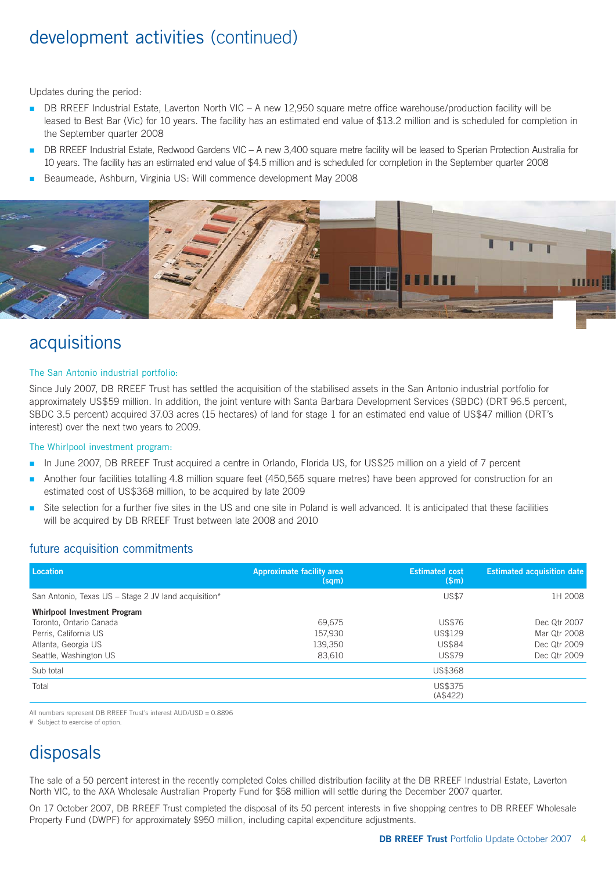### development activities (continued)

Updates during the period:

- DB RREEF Industrial Estate, Laverton North VIC A new 12,950 square metre office warehouse/production facility will be leased to Best Bar (Vic) for 10 years. The facility has an estimated end value of \$13.2 million and is scheduled for completion in the September quarter 2008 n
- DB RREEF Industrial Estate, Redwood Gardens VIC A new 3,400 square metre facility will be leased to Sperian Protection Australia for 10 years. The facility has an estimated end value of \$4.5 million and is scheduled for completion in the September quarter 2008 n
- Beaumeade, Ashburn, Virginia US: Will commence development May 2008 n



### acquisitions

#### The San Antonio industrial portfolio:

Since July 2007, DB RREEF Trust has settled the acquisition of the stabilised assets in the San Antonio industrial portfolio for approximately US\$59 million. In addition, the joint venture with Santa Barbara Development Services (SBDC) (DRT 96.5 percent, SBDC 3.5 percent) acquired 37.03 acres (15 hectares) of land for stage 1 for an estimated end value of US\$47 million (DRT's interest) over the next two years to 2009.

#### The Whirlpool investment program:

- In June 2007, DB RREEF Trust acquired a centre in Orlando, Florida US, for US\$25 million on a yield of 7 percent n
- Another four facilities totalling 4.8 million square feet (450,565 square metres) have been approved for construction for an estimated cost of US\$368 million, to be acquired by late 2009 n
- Site selection for a further five sites in the US and one site in Poland is well advanced. It is anticipated that these facilities will be acquired by DB RREEF Trust between late 2008 and 2010 n

#### future acquisition commitments

| Location                                             | Approximate facility area<br>(sqm) | <b>Estimated cost</b><br>\$m\$ | <b>Estimated acquisition date</b> |
|------------------------------------------------------|------------------------------------|--------------------------------|-----------------------------------|
| San Antonio, Texas US - Stage 2 JV land acquisition# |                                    | <b>US\$7</b>                   | 1H 2008                           |
| Whirlpool Investment Program                         |                                    |                                |                                   |
| Toronto, Ontario Canada                              | 69,675                             | <b>US\$76</b>                  | Dec Qtr 2007                      |
| Perris, California US                                | 157,930                            | US\$129                        | Mar Qtr 2008                      |
| Atlanta, Georgia US                                  | 139,350                            | <b>US\$84</b>                  | Dec Qtr 2009                      |
| Seattle, Washington US                               | 83,610                             | <b>US\$79</b>                  | Dec Qtr 2009                      |
| Sub total                                            |                                    | <b>US\$368</b>                 |                                   |
| Total                                                |                                    | US\$375<br>(A\$422)            |                                   |

All numbers represent DB RREEF Trust's interest AUD/USD = 0.8896

# Subject to exercise of option.

### disposals

The sale of a 50 percent interest in the recently completed Coles chilled distribution facility at the DB RREEF Industrial Estate, Laverton North VIC, to the AXA Wholesale Australian Property Fund for \$58 million will settle during the December 2007 quarter.

On 17 October 2007, DB RREEF Trust completed the disposal of its 50 percent interests in five shopping centres to DB RREEF Wholesale Property Fund (DWPF) for approximately \$950 million, including capital expenditure adjustments.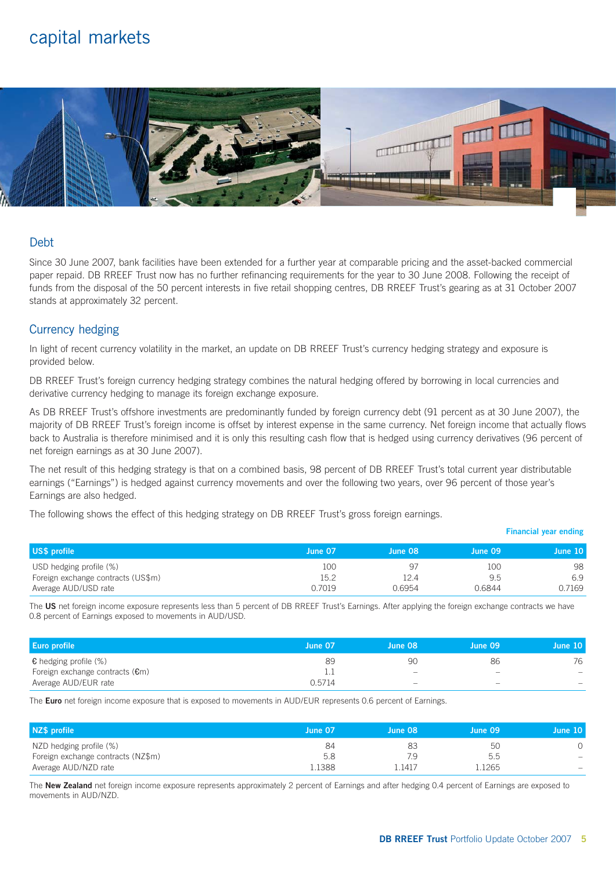### capital markets



#### Debt

Since 30 June 2007, bank facilities have been extended for a further year at comparable pricing and the asset-backed commercial paper repaid. DB RREEF Trust now has no further refinancing requirements for the year to 30 June 2008. Following the receipt of funds from the disposal of the 50 percent interests in five retail shopping centres, DB RREEF Trust's gearing as at 31 October 2007 stands at approximately 32 percent.

#### Currency hedging

In light of recent currency volatility in the market, an update on DB RREEF Trust's currency hedging strategy and exposure is provided below.

DB RREEF Trust's foreign currency hedging strategy combines the natural hedging offered by borrowing in local currencies and derivative currency hedging to manage its foreign exchange exposure.

As DB RREEF Trust's offshore investments are predominantly funded by foreign currency debt (91 percent as at 30 June 2007), the majority of DB RREEF Trust's foreign income is offset by interest expense in the same currency. Net foreign income that actually flows back to Australia is therefore minimised and it is only this resulting cash flow that is hedged using currency derivatives (96 percent of net foreign earnings as at 30 June 2007).

The net result of this hedging strategy is that on a combined basis, 98 percent of DB RREEF Trust's total current year distributable earnings ("Earnings") is hedged against currency movements and over the following two years, over 96 percent of those year's Earnings are also hedged.

The following shows the effect of this hedging strategy on DB RREEF Trust's gross foreign earnings.

| US\$ profile                       | June 07 | June 08 | June 09 | June 10 |
|------------------------------------|---------|---------|---------|---------|
| USD hedging profile (%)            | 100     | 97      | 100     | 98      |
| Foreign exchange contracts (US\$m) | 15.2    | 12.4    | 9.5     | 6.9     |
| Average AUD/USD rate               | 0.7019  | 0.6954  | 0.6844  | 0.7169  |

The **US** net foreign income exposure represents less than 5 percent of DB RREEF Trust's Earnings. After applying the foreign exchange contracts we have 0.8 percent of Earnings exposed to movements in AUD/USD.

| <b>Euro profile</b>                       | June 07 | June 08                  | June 09 | June 10                  |
|-------------------------------------------|---------|--------------------------|---------|--------------------------|
| $\epsilon$ hedging profile (%)            | 89      | -90                      | 86      | 76                       |
| Foreign exchange contracts $(\epsilon m)$ |         | $\overline{\phantom{0}}$ | -       | $\overline{\phantom{0}}$ |
| Average AUD/EUR rate                      | 0.5714  | $\overline{\phantom{a}}$ | -       | $\overline{\phantom{m}}$ |

The **Euro** net foreign income exposure that is exposed to movements in AUD/EUR represents 0.6 percent of Earnings.

| NZ\$ profile                       | June 07 | $\sqrt{2}$ June 08 | June 09 | June 10 |
|------------------------------------|---------|--------------------|---------|---------|
| NZD hedging profile (%)            | 84      | 83                 | 50      |         |
| Foreign exchange contracts (NZ\$m) | 5.8     | 7.9                | 5.5     |         |
| Average AUD/NZD rate               | l.1388  | .1417              | .1265   | $\sim$  |

The **New Zealand** net foreign income exposure represents approximately 2 percent of Earnings and after hedging 0.4 percent of Earnings are exposed to movements in AUD/NZD.

**Financial year ending**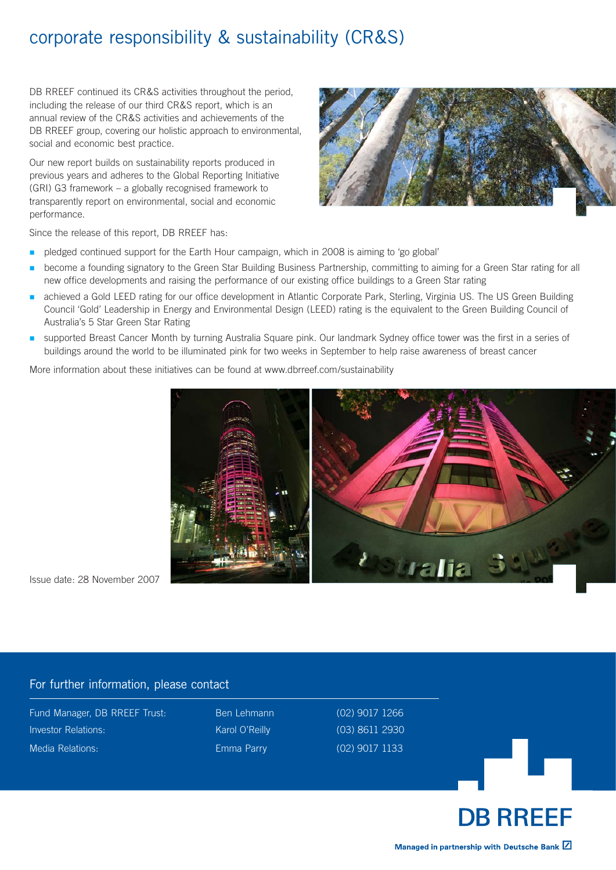### corporate responsibility & sustainability (CR&S)

DB RREEF continued its CR&S activities throughout the period. including the release of our third CR&S report, which is an annual review of the CR&S activities and achievements of the DB RREEF group, covering our holistic approach to environmental, social and economic best practice.

Our new report builds on sustainability reports produced in previous years and adheres to the Global Reporting Initiative (GRI) G3 framework – a globally recognised framework to transparently report on environmental, social and economic performance.



Since the release of this report, DB RREEF has:

- pledged continued support for the Earth Hour campaign, which in 2008 is aiming to 'go global' n
- become a founding signatory to the Green Star Building Business Partnership, committing to aiming for a Green Star rating for all new office developments and raising the performance of our existing office buildings to a Green Star rating n
- achieved a Gold LEED rating for our office development in Atlantic Corporate Park, Sterling, Virginia US. The US Green Building Council 'Gold' Leadership in Energy and Environmental Design (LEED) rating is the equivalent to the Green Building Council of Australia's 5 Star Green Star Rating n
- supported Breast Cancer Month by turning Australia Square pink. Our landmark Sydney office tower was the first in a series of buildings around the world to be illuminated pink for two weeks in September to help raise awareness of breast cancer n

More information about these initiatives can be found at www.dbrreef.com/sustainability



Issue date: 28 November 2007

#### For further information, please contact

Fund Manager, DB RREEF Trust: Ben Lehmann (02) 9017 1266 Investor Relations: Karol O'Reilly (03) 8611 2930 Media Relations: Emma Parry (02) 9017 1133



Managed in partnership with Deutsche Bank Z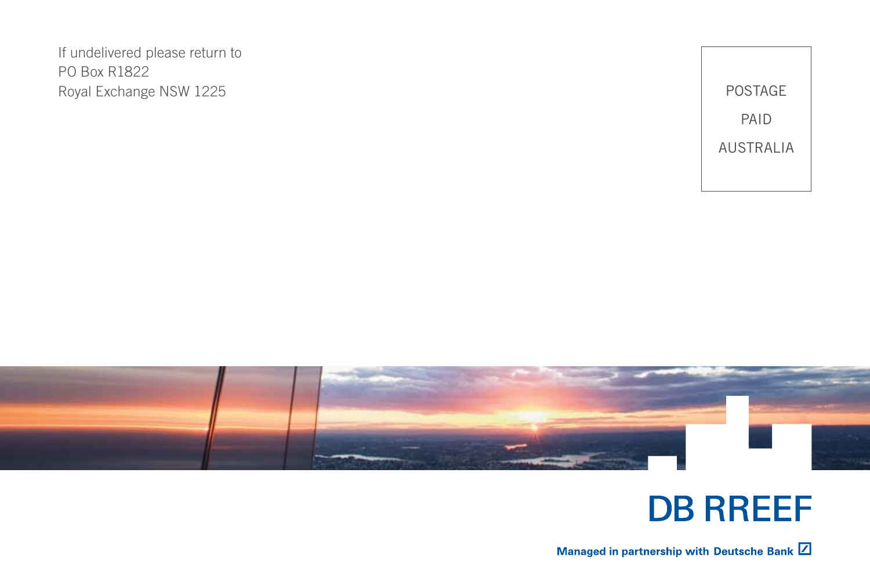If undelivered please return to PO Box R1822 Royal Exchange NSW 1225





### **DB RREEF**

Managed in partnership with Deutsche Bank Z